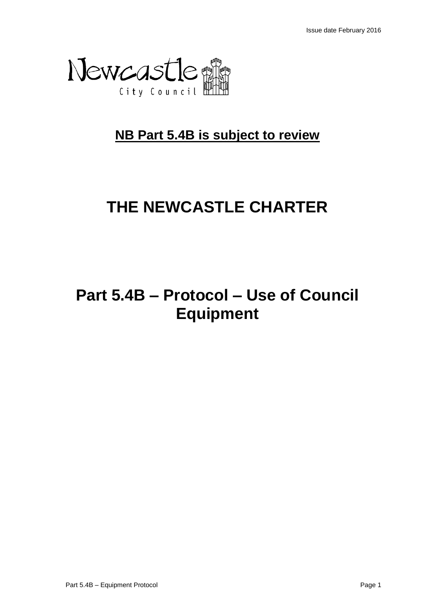

## **NB Part 5.4B is subject to review**

# **THE NEWCASTLE CHARTER**

## **Part 5.4B – Protocol – Use of Council Equipment**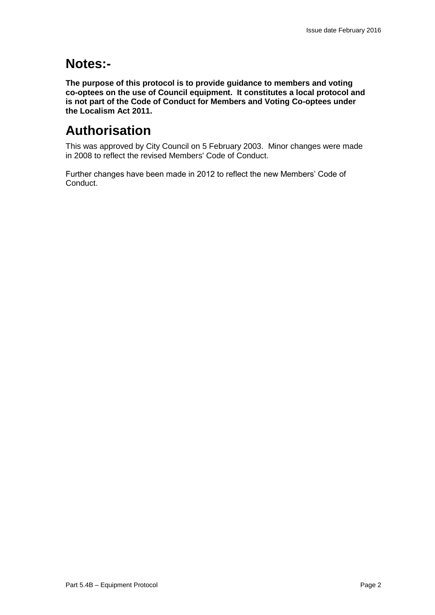### **Notes:-**

**The purpose of this protocol is to provide guidance to members and voting co-optees on the use of Council equipment. It constitutes a local protocol and is not part of the Code of Conduct for Members and Voting Co-optees under the Localism Act 2011.**

## **Authorisation**

This was approved by City Council on 5 February 2003. Minor changes were made in 2008 to reflect the revised Members' Code of Conduct.

Further changes have been made in 2012 to reflect the new Members' Code of Conduct.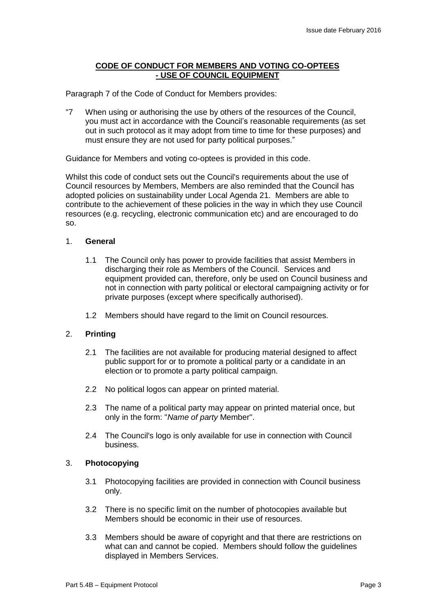#### **CODE OF CONDUCT FOR MEMBERS AND VOTING CO-OPTEES - USE OF COUNCIL EQUIPMENT**

Paragraph 7 of the Code of Conduct for Members provides:

"7 When using or authorising the use by others of the resources of the Council, you must act in accordance with the Council's reasonable requirements (as set out in such protocol as it may adopt from time to time for these purposes) and must ensure they are not used for party political purposes."

Guidance for Members and voting co-optees is provided in this code.

Whilst this code of conduct sets out the Council's requirements about the use of Council resources by Members, Members are also reminded that the Council has adopted policies on sustainability under Local Agenda 21. Members are able to contribute to the achievement of these policies in the way in which they use Council resources (e.g. recycling, electronic communication etc) and are encouraged to do so.

#### 1. **General**

- 1.1 The Council only has power to provide facilities that assist Members in discharging their role as Members of the Council. Services and equipment provided can, therefore, only be used on Council business and not in connection with party political or electoral campaigning activity or for private purposes (except where specifically authorised).
- 1.2 Members should have regard to the limit on Council resources.

#### 2. **Printing**

- 2.1 The facilities are not available for producing material designed to affect public support for or to promote a political party or a candidate in an election or to promote a party political campaign.
- 2.2 No political logos can appear on printed material.
- 2.3 The name of a political party may appear on printed material once, but only in the form: "*Name of party* Member".
- 2.4 The Council's logo is only available for use in connection with Council business.

#### 3. **Photocopying**

- 3.1 Photocopying facilities are provided in connection with Council business only.
- 3.2 There is no specific limit on the number of photocopies available but Members should be economic in their use of resources.
- 3.3 Members should be aware of copyright and that there are restrictions on what can and cannot be copied. Members should follow the guidelines displayed in Members Services.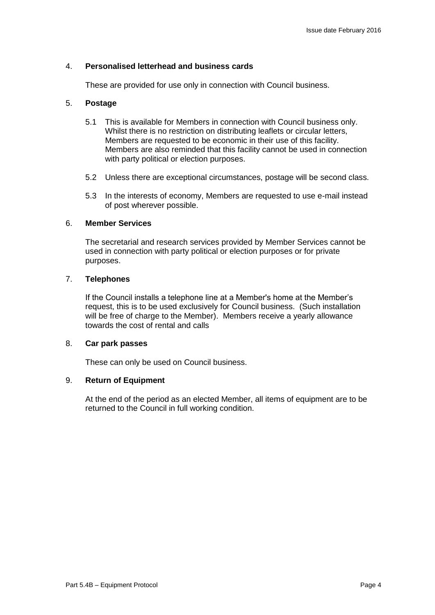#### 4. **Personalised letterhead and business cards**

These are provided for use only in connection with Council business.

#### 5. **Postage**

- 5.1 This is available for Members in connection with Council business only. Whilst there is no restriction on distributing leaflets or circular letters, Members are requested to be economic in their use of this facility. Members are also reminded that this facility cannot be used in connection with party political or election purposes.
- 5.2 Unless there are exceptional circumstances, postage will be second class.
- 5.3 In the interests of economy, Members are requested to use e-mail instead of post wherever possible.

#### 6. **Member Services**

The secretarial and research services provided by Member Services cannot be used in connection with party political or election purposes or for private purposes.

#### 7. **Telephones**

If the Council installs a telephone line at a Member's home at the Member's request, this is to be used exclusively for Council business. (Such installation will be free of charge to the Member). Members receive a yearly allowance towards the cost of rental and calls

#### 8. **Car park passes**

These can only be used on Council business.

#### 9. **Return of Equipment**

At the end of the period as an elected Member, all items of equipment are to be returned to the Council in full working condition.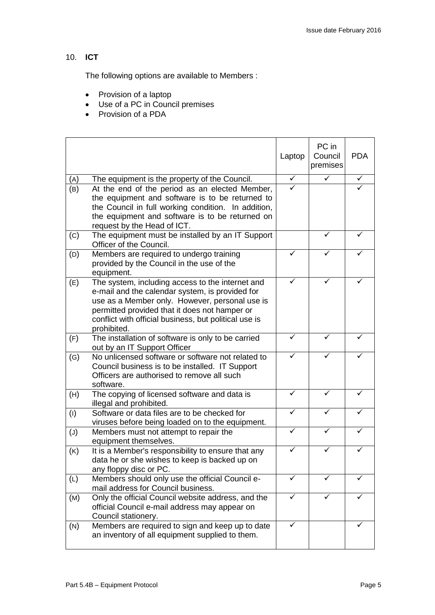### 10. **ICT**

The following options are available to Members :

- Provision of a laptop
- Use of a PC in Council premises
- Provision of a PDA

|          |                                                                                                                                                                                                                                                                                | Laptop                  | PC in<br>Council<br>premises | <b>PDA</b>   |
|----------|--------------------------------------------------------------------------------------------------------------------------------------------------------------------------------------------------------------------------------------------------------------------------------|-------------------------|------------------------------|--------------|
| (A)      | The equipment is the property of the Council.                                                                                                                                                                                                                                  | $\overline{\checkmark}$ | ✓                            | $\checkmark$ |
| (B)      | At the end of the period as an elected Member,<br>the equipment and software is to be returned to<br>the Council in full working condition. In addition,<br>the equipment and software is to be returned on<br>request by the Head of ICT.                                     | ✓                       |                              |              |
| (C)      | The equipment must be installed by an IT Support<br>Officer of the Council.                                                                                                                                                                                                    |                         |                              |              |
| (D)      | Members are required to undergo training<br>provided by the Council in the use of the<br>equipment.                                                                                                                                                                            |                         |                              |              |
| (E)      | The system, including access to the internet and<br>e-mail and the calendar system, is provided for<br>use as a Member only. However, personal use is<br>permitted provided that it does not hamper or<br>conflict with official business, but political use is<br>prohibited. |                         |                              |              |
| (F)      | The installation of software is only to be carried<br>out by an IT Support Officer                                                                                                                                                                                             |                         |                              |              |
| (G)      | No unlicensed software or software not related to<br>Council business is to be installed. IT Support<br>Officers are authorised to remove all such<br>software.                                                                                                                |                         |                              |              |
| (H)      | The copying of licensed software and data is<br>illegal and prohibited.                                                                                                                                                                                                        |                         |                              |              |
| (1)      | Software or data files are to be checked for<br>viruses before being loaded on to the equipment.                                                                                                                                                                               | ✓                       | ✓                            |              |
| $(\cup)$ | Members must not attempt to repair the<br>equipment themselves.                                                                                                                                                                                                                | ✓                       | ✓                            |              |
| (K)      | It is a Member's responsibility to ensure that any<br>data he or she wishes to keep is backed up on<br>any floppy disc or PC.                                                                                                                                                  |                         |                              |              |
| (L)      | Members should only use the official Council e-<br>mail address for Council business.                                                                                                                                                                                          | ✓                       | ✓                            |              |
| (M)      | Only the official Council website address, and the<br>official Council e-mail address may appear on<br>Council stationery.                                                                                                                                                     | ✓                       | ✓                            |              |
| (N)      | Members are required to sign and keep up to date<br>an inventory of all equipment supplied to them.                                                                                                                                                                            |                         |                              |              |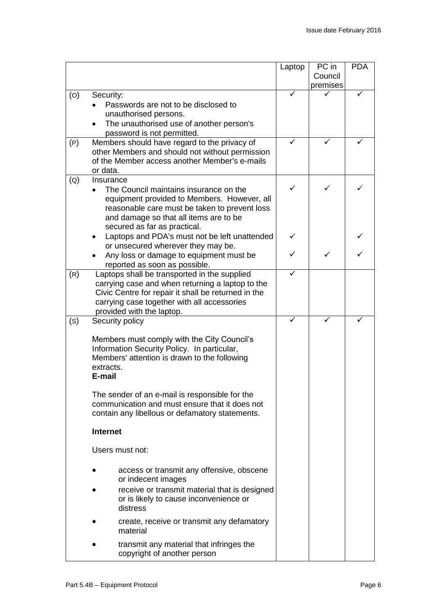|                   |                                                                                                                                                                                                                                                                       | Laptop | PC in<br>Council | <b>PDA</b> |
|-------------------|-----------------------------------------------------------------------------------------------------------------------------------------------------------------------------------------------------------------------------------------------------------------------|--------|------------------|------------|
|                   |                                                                                                                                                                                                                                                                       |        | premises         |            |
| (O)               | Security:<br>Passwords are not to be disclosed to<br>unauthorised persons.<br>The unauthorised use of another person's<br>password is not permitted.                                                                                                                  |        |                  |            |
| (P)               | Members should have regard to the privacy of<br>other Members and should not without permission<br>of the Member access another Member's e-mails<br>or data.                                                                                                          |        |                  |            |
| $\left( Q\right)$ | Insurance<br>The Council maintains insurance on the<br>equipment provided to Members. However, all<br>reasonable care must be taken to prevent loss<br>and damage so that all items are to be<br>secured as far as practical.                                         | ✓      |                  |            |
|                   | Laptops and PDA's must not be left unattended<br>or unsecured wherever they may be.                                                                                                                                                                                   |        |                  |            |
|                   | Any loss or damage to equipment must be<br>reported as soon as possible.                                                                                                                                                                                              |        |                  |            |
| (R)               | Laptops shall be transported in the supplied<br>carrying case and when returning a laptop to the<br>Civic Centre for repair it shall be returned in the<br>carrying case together with all accessories<br>provided with the laptop.                                   | ✓      |                  |            |
| (S)               | Security policy                                                                                                                                                                                                                                                       |        |                  |            |
|                   | Members must comply with the City Council's<br>Information Security Policy. In particular,<br>Members' attention is drawn to the following<br>extracts.<br>E-mail<br>The sender of an e-mail is responsible for the<br>communication and must ensure that it does not |        |                  |            |
|                   | contain any libellous or defamatory statements.                                                                                                                                                                                                                       |        |                  |            |
|                   | <b>Internet</b>                                                                                                                                                                                                                                                       |        |                  |            |
|                   | Users must not:                                                                                                                                                                                                                                                       |        |                  |            |
|                   | access or transmit any offensive, obscene<br>or indecent images<br>receive or transmit material that is designed<br>or is likely to cause inconvenience or<br>distress                                                                                                |        |                  |            |
|                   | create, receive or transmit any defamatory<br>material                                                                                                                                                                                                                |        |                  |            |
|                   | transmit any material that infringes the<br>copyright of another person                                                                                                                                                                                               |        |                  |            |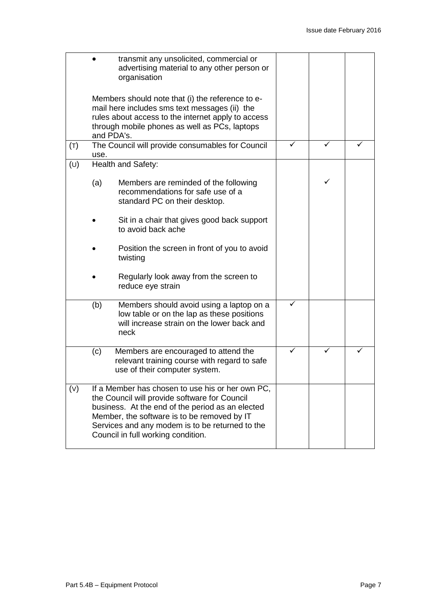|     | organisation                                                                                                                                                                                                                                                                                  | transmit any unsolicited, commercial or<br>advertising material to any other person or                                               |  |   |  |
|-----|-----------------------------------------------------------------------------------------------------------------------------------------------------------------------------------------------------------------------------------------------------------------------------------------------|--------------------------------------------------------------------------------------------------------------------------------------|--|---|--|
|     | Members should note that (i) the reference to e-<br>mail here includes sms text messages (ii) the<br>rules about access to the internet apply to access<br>through mobile phones as well as PCs, laptops<br>and PDA's.                                                                        |                                                                                                                                      |  |   |  |
| (T) | use.                                                                                                                                                                                                                                                                                          | The Council will provide consumables for Council                                                                                     |  |   |  |
| (U) | Health and Safety:                                                                                                                                                                                                                                                                            |                                                                                                                                      |  |   |  |
|     | (a)                                                                                                                                                                                                                                                                                           | Members are reminded of the following<br>recommendations for safe use of a<br>standard PC on their desktop.                          |  | ✓ |  |
|     |                                                                                                                                                                                                                                                                                               | Sit in a chair that gives good back support<br>to avoid back ache                                                                    |  |   |  |
|     | twisting                                                                                                                                                                                                                                                                                      | Position the screen in front of you to avoid                                                                                         |  |   |  |
|     | reduce eye strain                                                                                                                                                                                                                                                                             | Regularly look away from the screen to                                                                                               |  |   |  |
|     | (b)<br>neck                                                                                                                                                                                                                                                                                   | Members should avoid using a laptop on a<br>low table or on the lap as these positions<br>will increase strain on the lower back and |  |   |  |
|     | (c)                                                                                                                                                                                                                                                                                           | Members are encouraged to attend the<br>relevant training course with regard to safe<br>use of their computer system.                |  |   |  |
| (V) | If a Member has chosen to use his or her own PC,<br>the Council will provide software for Council<br>business. At the end of the period as an elected<br>Member, the software is to be removed by IT<br>Services and any modem is to be returned to the<br>Council in full working condition. |                                                                                                                                      |  |   |  |